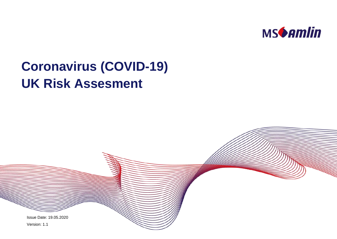

# **Coronavirus (COVID-19) UK Risk Assesment**

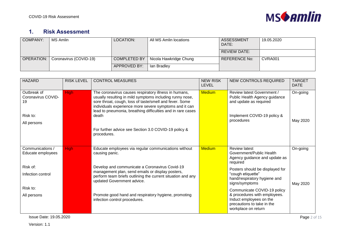

## **1. Risk Assessment**

| <b>COMPANY:</b> | MS Amlin               | LOCATION:           | All MS Amlin locations | <b>ASSESSMENT</b><br>DATE: | 19.05.2020 |
|-----------------|------------------------|---------------------|------------------------|----------------------------|------------|
|                 |                        |                     |                        | <b>REVIEW DATE:</b>        |            |
| OPERATION:      | Coronavirus (COVID-19) | <b>COMPLETED BY</b> | Nicola Hawkridge Chung | <b>REFERENCE No:</b>       | CVRA001    |
|                 |                        | APPROVED BY:        | lan Bradlev            |                            |            |

| <b>HAZARD</b>                                                      | <b>RISK LEVEL</b> | <b>CONTROL MEASURES</b>                                                                                                                                                                                                                                                                                        | <b>NEW RISK</b><br><b>LEVEL</b> | <b>NEW CONTROLS REQUIRED</b>                                                                                                                | <b>TARGET</b><br><b>DATE</b> |
|--------------------------------------------------------------------|-------------------|----------------------------------------------------------------------------------------------------------------------------------------------------------------------------------------------------------------------------------------------------------------------------------------------------------------|---------------------------------|---------------------------------------------------------------------------------------------------------------------------------------------|------------------------------|
| Outbreak of<br>Coronavirus COVID-<br>19<br>Risk to:<br>All persons | <b>High</b>       | The coronavirus causes respiratory illness in humans,<br>usually resulting in mild symptoms including runny nose,<br>sore throat, cough, loss of taste/smell and fever. Some<br>individuals experience more severe symptoms and it can<br>lead to pneumonia, breathing difficulties and in rare cases<br>death | <b>Medium</b>                   | <b>Review latest Government /</b><br>Public Health Agency guidance<br>and update as required<br>Implement COVID-19 policy &<br>procedures   | On-going<br>May 2020         |
|                                                                    |                   | For further advice see Section 3.0 COVID-19 policy &<br>procedures.                                                                                                                                                                                                                                            |                                 |                                                                                                                                             |                              |
| Communications /<br>Educate employees                              | <b>High</b>       | Educate employees via regular communications without<br>causing panic.                                                                                                                                                                                                                                         | <b>Medium</b>                   | <b>Review latest</b><br>Government/Public Health<br>Agency guidance and update as<br>required                                               | On-going                     |
| Risk of:<br>Infection control                                      |                   | Develop and communicate a Coronavirus Covid-19<br>management plan, send emails or display posters,<br>perform team briefs outlining the current situation and any<br>updated Government advice.                                                                                                                |                                 | Posters should be displayed for<br>"cough etiquette"<br>hand/respiratory hygiene and<br>signs/symptoms                                      | May 2020                     |
| Risk to:<br>All persons                                            |                   | Promote good hand and respiratory hygiene, promoting<br>infection control procedures.                                                                                                                                                                                                                          |                                 | Communicate COVID-19 policy<br>& procedures with employees.<br>Induct employees on the<br>precautions to take in the<br>workplace on return |                              |

**Issue Date: 19.05.2020 Page 2 of 15**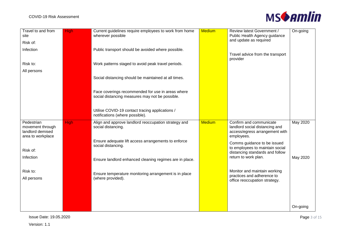

| Travel to and from<br>site           | <b>High</b> | Current guidelines require employees to work from home<br>wherever possible | <b>Medium</b> | Review latest Government /<br>Public Health Agency guidance        | On-going |
|--------------------------------------|-------------|-----------------------------------------------------------------------------|---------------|--------------------------------------------------------------------|----------|
| Risk of:                             |             |                                                                             |               | and update as required                                             |          |
| Infection                            |             | Public transport should be avoided where possible.                          |               |                                                                    |          |
|                                      |             |                                                                             |               | Travel advice from the transport<br>provider                       |          |
| Risk to:                             |             | Work patterns staged to avoid peak travel periods.                          |               |                                                                    |          |
| All persons                          |             |                                                                             |               |                                                                    |          |
|                                      |             | Social distancing should be maintained at all times.                        |               |                                                                    |          |
|                                      |             |                                                                             |               |                                                                    |          |
|                                      |             | Face coverings recommended for use in areas where                           |               |                                                                    |          |
|                                      |             | social distancing measures may not be possible.                             |               |                                                                    |          |
|                                      |             | Utilise COVID-19 contact tracing applications /                             |               |                                                                    |          |
|                                      |             | notifications (where possible).                                             |               |                                                                    |          |
|                                      |             |                                                                             |               |                                                                    |          |
| Pedestrian                           | <b>High</b> | Align and approve landlord reoccupation strategy and                        | <b>Medium</b> | Confirm and communicate                                            | May 2020 |
| movement through<br>landlord demised |             | social distancing.                                                          |               | landlord social distancing and<br>access/egress arrangement with   |          |
| area to workplace                    |             |                                                                             |               | employees.                                                         |          |
|                                      |             | Ensure adequate lift access arrangements to enforce<br>social distancing.   |               | Comms guidance to be issued                                        |          |
| Risk of:                             |             |                                                                             |               | to employees to maintain social<br>distancing standards and follow |          |
| Infection                            |             | Ensure landlord enhanced cleaning regimes are in place.                     |               | return to work plan.                                               | May 2020 |
|                                      |             |                                                                             |               |                                                                    |          |
| Risk to:                             |             | Ensure temperature monitoring arrangement is in place                       |               | Monitor and maintain working<br>practices and adherence to         |          |
| All persons                          |             | (where provided).                                                           |               | office reoccupation strategy.                                      |          |
|                                      |             |                                                                             |               |                                                                    |          |
|                                      |             |                                                                             |               |                                                                    |          |
|                                      |             |                                                                             |               |                                                                    | On-going |

**Issue Date: 19.05.2020 Page 3 of 15**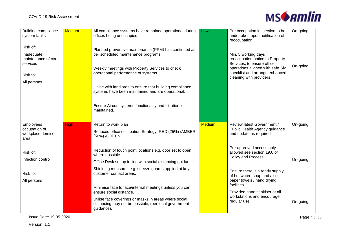

| <b>Building compliance</b><br>system faults               | <b>Medium</b> | All compliance systems have remained operational during<br>offices being unoccupied.                                                           | Low           | Pre occupation inspection to be<br>undertaken upon notification of<br>reoccupation.                      | On-going |
|-----------------------------------------------------------|---------------|------------------------------------------------------------------------------------------------------------------------------------------------|---------------|----------------------------------------------------------------------------------------------------------|----------|
| Risk of:<br>Inadequate<br>maintenance of core<br>services |               | Planned preventive maintenance (PPM) has continued as<br>per scheduled maintenance programs.                                                   |               | Min. 5 working days<br>reoccupation notice to Property<br>Services, to ensure office                     |          |
| Risk to:                                                  |               | Weekly meetings with Property Services to check<br>operational performance of systems.                                                         |               | operations aligned with safe Six<br>checklist and arrange enhanced<br>cleaning with providers            | On-going |
| All persons                                               |               | Liaise with landlords to ensure that building compliance<br>systems have been maintained and are operational.                                  |               |                                                                                                          |          |
|                                                           |               | Ensure Aircon systems functionality and filtration is<br>maintained.                                                                           |               |                                                                                                          |          |
|                                                           |               |                                                                                                                                                |               |                                                                                                          |          |
| Employees<br>occupation of<br>workplace demised<br>area   | <b>High</b>   | Return to work plan<br>Reduced office occupation Strategy, RED (25%) /AMBER<br>(50%) /GREEN.                                                   | <b>Medium</b> | <b>Review latest Government /</b><br>Public Health Agency guidance<br>and update as required             | On-going |
| Risk of:                                                  |               | Reduction of touch point locations e.g. door set to open<br>where possible.                                                                    |               | Pre-approved access only<br>allowed see section 19.0 of<br>Policy and Process                            |          |
| Infection control<br>Risk to:                             |               | Office Desk set up in line with social distancing guidance.<br>Shielding measures e.g. sneeze guards applied at key<br>customer contact areas. |               | Ensure there is a ready supply<br>of hot water, soap and also                                            | On-going |
| All persons                                               |               | Minimise face to face/internal meetings unless you can<br>ensure social distance.                                                              |               | paper towels / hand drying<br>facilities<br>Provided hand sanitiser at all<br>workstations and encourage |          |

**Issue Date: 19.05.2020 Page 4 of 15**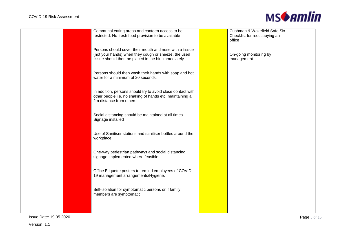

| Communal eating areas and canteen access to be<br>restricted. No fresh food provision to be available                                                                   | Cushman & Wakefield Safe Six<br>Checklist for reoccupying an<br>office |  |
|-------------------------------------------------------------------------------------------------------------------------------------------------------------------------|------------------------------------------------------------------------|--|
| Persons should cover their mouth and nose with a tissue<br>(not your hands) when they cough or sneeze, the used<br>tissue should then be placed in the bin immediately. | On-going monitoring by<br>management                                   |  |
| Persons should then wash their hands with soap and hot<br>water for a minimum of 20 seconds.                                                                            |                                                                        |  |
| In addition, persons should try to avoid close contact with<br>other people i.e. no shaking of hands etc. maintaining a<br>2m distance from others.                     |                                                                        |  |
| Social distancing should be maintained at all times-<br>Signage installed                                                                                               |                                                                        |  |
| Use of Sanitiser stations and sanitiser bottles around the<br>workplace.                                                                                                |                                                                        |  |
| One-way pedestrian pathways and social distancing<br>signage implemented where feasible.                                                                                |                                                                        |  |
| Office Etiquette posters to remind employees of COVID-<br>19 management arrangements/Hygiene.                                                                           |                                                                        |  |
| Self-isolation for symptomatic persons or if family<br>members are symptomatic.                                                                                         |                                                                        |  |
|                                                                                                                                                                         |                                                                        |  |

**Issue Date: 19.05.2020 Page 5 of 15**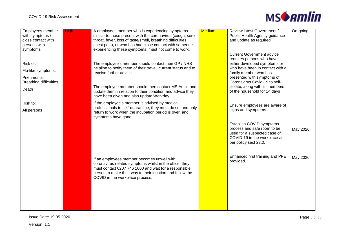

| Employees member        | <b>High</b> | A employees member who is experiencing symptoms                                                               | <b>Medium</b> | Review latest Government /       | On-going |
|-------------------------|-------------|---------------------------------------------------------------------------------------------------------------|---------------|----------------------------------|----------|
| with symptoms /         |             | similar to those present with the coronavirus (cough, sore                                                    |               | Public Health Agency guidance    |          |
| close contact with      |             | throat, fever, loss of taste/smell, breathing difficulties,                                                   |               | and update as required           |          |
| persons with            |             | chest pain), or who has had close contact with someone                                                        |               |                                  |          |
| symptoms                |             | experiencing these symptoms, must not come to work.                                                           |               |                                  |          |
|                         |             |                                                                                                               |               | <b>Current Government advice</b> |          |
|                         |             |                                                                                                               |               | requires persons who have        |          |
| Risk of:                |             | The employee's member should contact their GP / NHS                                                           |               | either developed symptoms or     |          |
|                         |             | helpline to notify them of their travel, current status and to                                                |               | who have been in contact with a  |          |
| Flu-like symptoms,      |             | receive further advice.                                                                                       |               | family member who has            |          |
| Pneumonia,              |             |                                                                                                               |               | presented with symptoms of       |          |
| Breathing difficulties, |             |                                                                                                               |               | Coronavirus Covid-19 to self-    |          |
|                         |             | The employee member should then contact MS Amlin and                                                          |               | isolate, along with all members  |          |
| Death                   |             | update them in relation to their condition and advice they                                                    |               | of the household for 14 days     |          |
|                         |             | have been given and also update Workday.                                                                      |               |                                  |          |
|                         |             |                                                                                                               |               |                                  |          |
| Risk to:                |             | If the employee's member is advised by medical<br>professionals to self-quarantine, they must do so, and only |               | Ensure employees are aware of    |          |
| All persons             |             |                                                                                                               |               | signs and symptoms               |          |
|                         |             | return to work when the incubation period is over, and                                                        |               |                                  |          |
|                         |             | symptoms have gone.                                                                                           |               |                                  |          |
|                         |             |                                                                                                               |               | Establish COVID symptoms         |          |
|                         |             |                                                                                                               |               | process and safe room to be      | May 2020 |
|                         |             |                                                                                                               |               | used for a suspected case of     |          |
|                         |             |                                                                                                               |               | COVID-19 in the workplace as     |          |
|                         |             |                                                                                                               |               | per policy sect 23.0.            |          |
|                         |             |                                                                                                               |               |                                  |          |
|                         |             |                                                                                                               |               |                                  |          |
|                         |             | If an employees member becomes unwell with                                                                    |               | Enhanced first training and PPE  | May 2020 |
|                         |             | coronavirus related symptoms whilst in the office, they                                                       |               | provided.                        |          |
|                         |             | must contact 0207 746 1000 and wait for a responsible                                                         |               |                                  |          |
|                         |             | person to make their way to their location and follow the                                                     |               |                                  |          |
|                         |             |                                                                                                               |               |                                  |          |
|                         |             | COVID in the workplace process.                                                                               |               |                                  |          |
|                         |             |                                                                                                               |               |                                  |          |
|                         |             |                                                                                                               |               |                                  |          |
|                         |             |                                                                                                               |               |                                  |          |
|                         |             |                                                                                                               |               |                                  |          |
|                         |             |                                                                                                               |               |                                  |          |
|                         |             |                                                                                                               |               |                                  |          |

**Issue Date: 19.05.2020** Page 6 of 15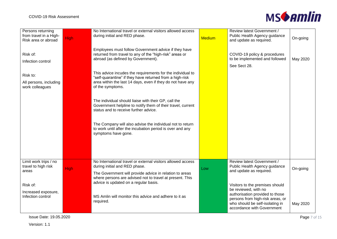

| Persons returning<br>from travel in a High-<br>Risk area or abroad | <b>High</b> | No International travel or external visitors allowed access<br>during initial and RED phase.                                                                                                                        | <b>Medium</b> | Review latest Government /<br>Public Health Agency guidance<br>and update as required.                                               | On-going |
|--------------------------------------------------------------------|-------------|---------------------------------------------------------------------------------------------------------------------------------------------------------------------------------------------------------------------|---------------|--------------------------------------------------------------------------------------------------------------------------------------|----------|
| Risk of:<br>Infection control                                      |             | Employees must follow Government advice if they have<br>returned from travel to any of the "high-risk" areas or<br>abroad (as defined by Government).                                                               |               | COVID-19 policy & procedures<br>to be implemented and followed<br>See Sect 28.                                                       | May 2020 |
| Risk to:<br>All persons, including<br>work colleagues              |             | This advice incudes the requirements for the individual to<br>"self-quarantine" if they have returned from a high-risk<br>area within the last 14 days, even if they do not have any<br>of the symptoms.            |               |                                                                                                                                      |          |
|                                                                    |             | The individual should liaise with their GP, call the<br>Government helpline to notify them of their travel, current<br>status and to receive further advice.                                                        |               |                                                                                                                                      |          |
|                                                                    |             | The Company will also advise the individual not to return<br>to work until after the incubation period is over and any<br>symptoms have gone.                                                                       |               |                                                                                                                                      |          |
|                                                                    |             |                                                                                                                                                                                                                     |               |                                                                                                                                      |          |
| Limit work trips / no<br>travel to high risk<br>areas              | <b>High</b> | No International travel or external visitors allowed access<br>during initial and RED phase.<br>The Government will provide advice in relation to areas<br>where persons are advised not to travel at present. This | Low           | Review latest Government /<br>Public Health Agency guidance<br>and update as required.                                               | On-going |
| Risk of:                                                           |             | advice is updated on a regular basis.                                                                                                                                                                               |               | Visitors to the premises should<br>be reviewed, with no                                                                              |          |
| Increased exposure,<br>Infection control                           |             | MS Amlin will monitor this advice and adhere to it as<br>required.                                                                                                                                                  |               | authorisation provided to those<br>persons from high-risk areas, or<br>who should be self-isolating in<br>accordance with Government | May 2020 |

**Issue Date: 19.05.2020** Page 7 of 15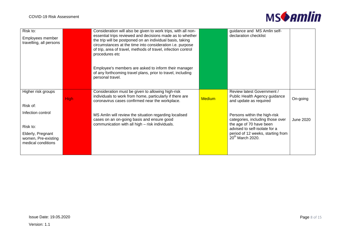

| Risk to:                |             | Consideration will also be given to work trips, with all non- |               | guidance and MS Amlin self-                                       |           |
|-------------------------|-------------|---------------------------------------------------------------|---------------|-------------------------------------------------------------------|-----------|
| Employees member        |             | essential trips reviewed and decisions made as to whether     |               | declaration checklist                                             |           |
|                         |             | the trip will be postponed on an individual basis, taking     |               |                                                                   |           |
| travelling, all persons |             | circumstances at the time into consideration i.e. purpose     |               |                                                                   |           |
|                         |             | of trip, area of travel, methods of travel, infection control |               |                                                                   |           |
|                         |             | procedures etc                                                |               |                                                                   |           |
|                         |             |                                                               |               |                                                                   |           |
|                         |             |                                                               |               |                                                                   |           |
|                         |             | Employee's members are asked to inform their manager          |               |                                                                   |           |
|                         |             | of any forthcoming travel plans, prior to travel, including   |               |                                                                   |           |
|                         |             | personal travel.                                              |               |                                                                   |           |
|                         |             |                                                               |               |                                                                   |           |
| Higher risk groups      |             | Consideration must be given to allowing high-risk             |               | Review latest Government /                                        |           |
|                         |             | individuals to work from home, particularly if there are      |               | Public Health Agency guidance                                     |           |
|                         | <b>High</b> | coronavirus cases confirmed near the workplace.               | <b>Medium</b> | and update as required                                            | On-going  |
| Risk of:                |             |                                                               |               |                                                                   |           |
| Infection control       |             |                                                               |               |                                                                   |           |
|                         |             | MS Amlin will review the situation regarding localised        |               | Persons within the high-risk                                      |           |
|                         |             | cases on an on-going basis and ensure good                    |               | categories, including those over                                  | June 2020 |
| Risk to:                |             | communication with all high - risk individuals.               |               | the age of 70 have been                                           |           |
|                         |             |                                                               |               | advised to self-isolate for a                                     |           |
| Elderly, Pregnant       |             |                                                               |               | period of 12 weeks, starting from<br>20 <sup>th</sup> March 2020. |           |
| women, Pre-existing     |             |                                                               |               |                                                                   |           |
| medical conditions      |             |                                                               |               |                                                                   |           |
|                         |             |                                                               |               |                                                                   |           |
|                         |             |                                                               |               |                                                                   |           |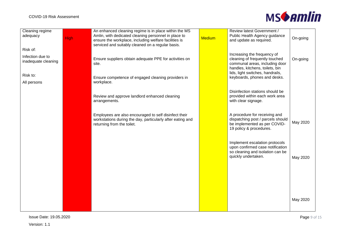

| Cleaning regime<br>adequacy             | <b>High</b> | An enhanced cleaning regime is in place within the MS<br>Amlin, with dedicated cleaning personnel in place to<br>ensure the workplace, including welfare facilities is<br>serviced and suitably cleaned on a regular basis. | <b>Medium</b> | Review latest Government /<br>Public Health Agency guidance<br>and update as required.                                             | On-going |
|-----------------------------------------|-------------|-----------------------------------------------------------------------------------------------------------------------------------------------------------------------------------------------------------------------------|---------------|------------------------------------------------------------------------------------------------------------------------------------|----------|
| Risk of:                                |             |                                                                                                                                                                                                                             |               |                                                                                                                                    |          |
| Infection due to<br>inadequate cleaning |             | Ensure suppliers obtain adequate PPE for activities on<br>site.                                                                                                                                                             |               | Increasing the frequency of<br>cleaning of frequently touched<br>communal areas, including door<br>handles, kitchens, toilets, bin | On-going |
| Risk to:                                |             |                                                                                                                                                                                                                             |               | lids, light switches, handrails,                                                                                                   |          |
| All persons                             |             | Ensure competence of engaged cleaning providers in<br>workplace.                                                                                                                                                            |               | keyboards, phones and desks.                                                                                                       |          |
|                                         |             | Review and approve landlord enhanced cleaning<br>arrangements.                                                                                                                                                              |               | Disinfection stations should be<br>provided within each work area<br>with clear signage.                                           |          |
|                                         |             | Employees are also encouraged to self disinfect their<br>workstations during the day, particularly after eating and<br>returning from the toilet.                                                                           |               | A procedure for receiving and<br>dispatching post / parcels should<br>be implemented as per COVID-<br>19 policy & procedures.      | May 2020 |
|                                         |             |                                                                                                                                                                                                                             |               | Implement escalation protocols<br>upon confirmed case notification<br>so cleaning and isolation can be<br>quickly undertaken.      | May 2020 |
|                                         |             |                                                                                                                                                                                                                             |               |                                                                                                                                    |          |
|                                         |             |                                                                                                                                                                                                                             |               |                                                                                                                                    |          |
|                                         |             |                                                                                                                                                                                                                             |               |                                                                                                                                    | May 2020 |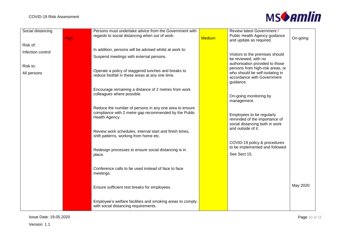

| Social distancing             | <b>High</b> | Persons must undertake advice from the Government with<br>regards to social distancing when out of work.                          | <b>Medium</b> | Review latest Government /<br>Public Health Agency guidance<br>and update as required.       | On-going |
|-------------------------------|-------------|-----------------------------------------------------------------------------------------------------------------------------------|---------------|----------------------------------------------------------------------------------------------|----------|
| Risk of:<br>Infection control |             | In addition, persons will be advised whilst at work to:                                                                           |               |                                                                                              |          |
|                               |             | Suspend meetings with external persons.                                                                                           |               | Visitors to the premises should<br>be reviewed, with no<br>authorisation provided to those   |          |
| Risk to:                      |             | Operate a policy of staggered lunches and breaks to                                                                               |               | persons from high-risk areas, or<br>who should be self-isolating in                          |          |
| All persons                   |             | reduce footfall in these areas at any one time.                                                                                   |               | accordance with Government<br>guidance.                                                      |          |
|                               |             | Encourage remaining a distance of 2 metres from work<br>colleagues where possible.                                                |               | On-going monitoring by<br>management.                                                        |          |
|                               |             | Reduce the number of persons in any one area to ensure<br>compliance with 2 metre gap recommended by the Public<br>Health Agency. |               | Employees to be regularly<br>reminded of the importance of<br>social distancing both in work |          |
|                               |             | Review work schedules, internal start and finish times,<br>shift patterns, working from home etc.                                 |               | and outside of it.                                                                           |          |
|                               |             | Redesign processes to ensure social distancing is in<br>place.                                                                    |               | COVID-19 policy & procedures<br>to be implemented and followed<br>See Sect 15.               |          |
|                               |             | Conference calls to be used instead of face to face<br>meetings.                                                                  |               |                                                                                              |          |
|                               |             | Ensure sufficient rest breaks for employees.                                                                                      |               |                                                                                              | May 2020 |
|                               |             | Employee's welfare facilities and smoking areas to comply<br>with social distancing requirements.                                 |               |                                                                                              |          |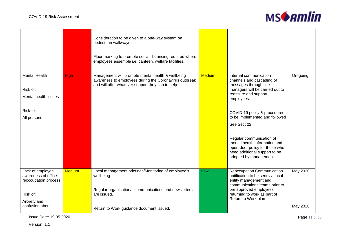

|                                                          |               | Consideration to be given to a one-way system on<br>pedestrian walkways.<br>Floor marking to promote social distancing required where<br>employees assemble i.e. canteen, welfare facilities. |               |                                                                                                                                                                                                                                         |          |
|----------------------------------------------------------|---------------|-----------------------------------------------------------------------------------------------------------------------------------------------------------------------------------------------|---------------|-----------------------------------------------------------------------------------------------------------------------------------------------------------------------------------------------------------------------------------------|----------|
| <b>Mental Health</b><br>Risk of:<br>Mental health issues | <b>High</b>   | Management will promote mental health & wellbeing<br>awareness to employees during the Coronavirus outbreak<br>and will offer whatever support they can to help.                              | <b>Medium</b> | Internal communication<br>channels and cascading of<br>messages through line<br>managers will be carried out to<br>reassure and support<br>employees.                                                                                   | On-going |
| Risk to:<br>All persons                                  |               |                                                                                                                                                                                               |               | COVID-19 policy & procedures<br>to be implemented and followed<br>See Sect 22.<br>Regular communication of<br>mental health information and<br>open-door policy for those who<br>need additional support to be<br>adopted by management |          |
| Lack of employee                                         | <b>Medium</b> | Local management briefings/Monitoring of employee's                                                                                                                                           | Low           | Reoccupation Communication                                                                                                                                                                                                              | May 2020 |
| awareness of office<br>reoccupation process<br>Risk of:  |               | wellbeing.<br>Regular organisational communications and newsletters<br>are issued.                                                                                                            |               | notification to be sent via local<br>entity management and<br>communications teams prior to<br>pre approved employees<br>returning to work as part of<br>Return to Work plan                                                            |          |
| Anxiety and<br>confusion about                           |               | Return to Work guidance document issued.                                                                                                                                                      |               |                                                                                                                                                                                                                                         | May 2020 |

**Issue Date: 19.05.2020** Page 11 of 15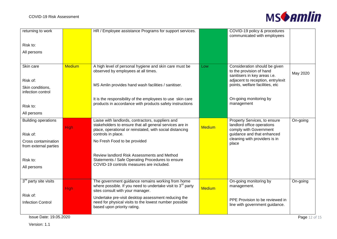

| returning to work                            |               | HR / Employee assistance Programs for support services.                                                                                                                                        |               | COVID-19 policy & procedures<br>communicated with employees                                                        |               |
|----------------------------------------------|---------------|------------------------------------------------------------------------------------------------------------------------------------------------------------------------------------------------|---------------|--------------------------------------------------------------------------------------------------------------------|---------------|
| Risk to:                                     |               |                                                                                                                                                                                                |               |                                                                                                                    |               |
| All persons                                  |               |                                                                                                                                                                                                |               |                                                                                                                    |               |
|                                              |               |                                                                                                                                                                                                |               |                                                                                                                    |               |
| Skin care                                    | <b>Medium</b> | A high level of personal hygiene and skin care must be<br>observed by employees at all times.                                                                                                  | Low           | Consideration should be given<br>to the provision of hand<br>sanitisers in key areas i.e.                          | May 2020      |
| Risk of:                                     |               |                                                                                                                                                                                                |               | adjacent to reception, entry/exit                                                                                  |               |
| Skin conditions,<br>infection control        |               | MS Amlin provides hand wash facilities / sanitiser.                                                                                                                                            |               | points, welfare facilities, etc                                                                                    |               |
|                                              |               | It is the responsibility of the employees to use skin care                                                                                                                                     |               | On-going monitoring by                                                                                             |               |
| Risk to:                                     |               | products in accordance with products safety instructions                                                                                                                                       |               | management                                                                                                         |               |
| All persons                                  |               |                                                                                                                                                                                                |               |                                                                                                                    |               |
| <b>Building operations</b><br>Risk of:       | <b>High</b>   | Liaise with landlords, contractors, suppliers and<br>stakeholders to ensure that all general services are in<br>place, operational or reinstated, with social distancing<br>controls in place. | <b>Medium</b> | Property Services, to ensure<br>landlord office operations<br>comply with Government<br>guidance and that enhanced | On-going      |
| Cross contamination<br>from external parties |               | No Fresh Food to be provided                                                                                                                                                                   |               | cleaning with providers is in<br>place                                                                             |               |
| Risk to:<br>All persons                      |               | Review landlord Risk Assessments and Method<br>Statements / Safe Operating Procedures to ensure<br>COVID-19 controls measures are included.                                                    |               |                                                                                                                    |               |
|                                              |               |                                                                                                                                                                                                |               |                                                                                                                    |               |
| 3 <sup>rd</sup> party site visits            | High          | The government guidance remains working from home<br>where possible. If you need to undertake visit to $3rd$ party<br>sites consult with your manager.                                         | <b>Medium</b> | On-going monitoring by<br>management.                                                                              | On-going      |
| Risk of:<br><b>Infection Control</b>         |               | Undertake pre-visit desktop assessment reducing the<br>need for physical visits to the lowest number possible<br>based upon priority rating.                                                   |               | PPE Provision to be reviewed in<br>line with government guidance.                                                  |               |
| Issue Date: 19.05.2020                       |               |                                                                                                                                                                                                |               |                                                                                                                    | Page 12 of 15 |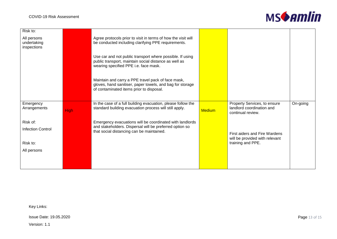

| Risk to:                                  |             |                                                                                                                                                             |               |                                                                                |          |
|-------------------------------------------|-------------|-------------------------------------------------------------------------------------------------------------------------------------------------------------|---------------|--------------------------------------------------------------------------------|----------|
| All persons<br>undertaking<br>inspections |             | Agree protocols prior to visit in terms of how the visit will<br>be conducted including clarifying PPE requirements.                                        |               |                                                                                |          |
|                                           |             | Use car and not public transport where possible. If using<br>public transport, maintain social distance as well as<br>wearing specified PPE i.e. face mask. |               |                                                                                |          |
|                                           |             | Maintain and carry a PPE travel pack of face mask,<br>gloves, hand sanitiser, paper towels, and bag for storage<br>of contaminated items prior to disposal. |               |                                                                                |          |
| Emergency<br>Arrangements                 | <b>High</b> | In the case of a full building evacuation, please follow the<br>standard building evacuation process will still apply.                                      | <b>Medium</b> | Property Services, to ensure<br>landlord coordination and<br>continual review. | On-going |
| Risk of:                                  |             | Emergency evacuations will be coordinated with landlords                                                                                                    |               |                                                                                |          |
| <b>Infection Control</b>                  |             | and stakeholders. Dispersal will be preferred option so<br>that social distancing can be maintained.                                                        |               | First aiders and Fire Wardens<br>will be provided with relevant                |          |
| Risk to:                                  |             |                                                                                                                                                             |               | training and PPE.                                                              |          |
| All persons                               |             |                                                                                                                                                             |               |                                                                                |          |
|                                           |             |                                                                                                                                                             |               |                                                                                |          |
|                                           |             |                                                                                                                                                             |               |                                                                                |          |

Key Links:

**Issue Date: 19.05.2020** Page 13 of 15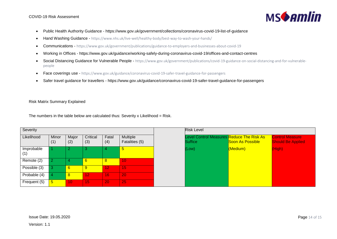

- Public Health Authority Guidance https://www.gov.uk/government/collections/coronavirus-covid-19-list-of-guidance
- Hand Washing Guidance <https://www.nhs.uk/live-well/healthy-body/best-way-to-wash-your-hands/>
- Communications <https://www.gov.uk/government/publications/guidance-to-employers-and-businesses-about-covid-19>
- Working in Offices https://www.gov.uk/guidance/working-safely-during-coronavirus-covid-19/offices-and-contact-centres
- Social Distancing Guidance for Vulnerable People [https://www.gov.uk/government/publications/covid-19-guidance-on-social-distancing-and-for-vulnerable](https://www.gov.uk/government/publications/covid-19-guidance-on-social-distancing-and-for-vulnerable-people)[people](https://www.gov.uk/government/publications/covid-19-guidance-on-social-distancing-and-for-vulnerable-people)
- Face coverings use <https://www.gov.uk/guidance/coronavirus-covid-19-safer-travel-guidance-for-passengers>
- Safer travel guidance for travellers https://www.gov.uk/guidance/coronavirus-covid-19-safer-travel-guidance-for-passengers

### Risk Matrix Summary Explained

The numbers in the table below are calculated thus: Severity x Likelihood = Risk.

| Severity          |                 |                 |                 |              |                                   |  |
|-------------------|-----------------|-----------------|-----------------|--------------|-----------------------------------|--|
| Likelihood        | Minor<br>(1)    | Major<br>(2)    | Critical<br>(3) | Fatal<br>(4) | <b>Multiple</b><br>Fatalities (5) |  |
| Improbable<br>(1) |                 | $\overline{2}$  | 3               | 4            | $\overline{5}$                    |  |
| Remote (2)        | $\overline{2}$  | 4               | 6               | 8            | 10                                |  |
| Possible (3)      | 3               | $6\phantom{1}6$ | 9               | 12           | 15                                |  |
| Probable (4)      | 4               | $\bf{8}$        | 12              | 16           | 20                                |  |
| Frequent (5)      | $5\overline{)}$ | 10              | 15              | 20           | 25                                |  |